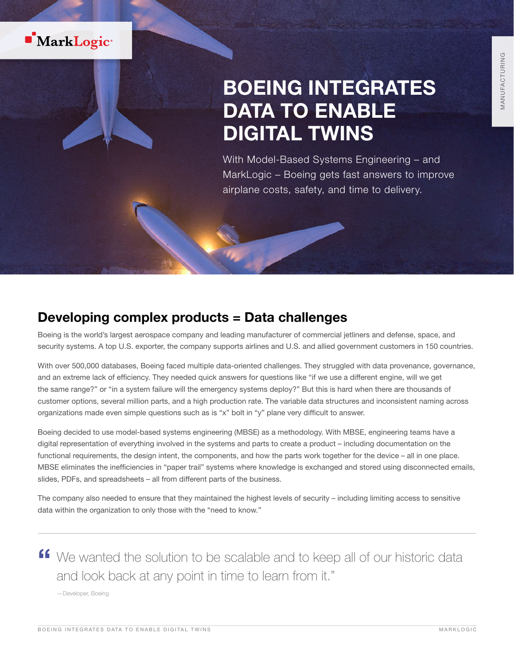

# BOEING INTEGRATES DATA TO ENABLE DIGITAL TWINS

With Model-Based Systems Engineering – and MarkLogic – Boeing gets fast answers to improve airplane costs, safety, and time to delivery.

### Developing complex products = Data challenges

Boeing is the world's largest aerospace company and leading manufacturer of commercial jetliners and defense, space, and security systems. A top U.S. exporter, the company supports airlines and U.S. and allied government customers in 150 countries.

With over 500,000 databases, Boeing faced multiple data-oriented challenges. They struggled with data provenance, governance, and an extreme lack of efficiency. They needed quick answers for questions like "if we use a different engine, will we get the same range?" or "in a system failure will the emergency systems deploy?" But this is hard when there are thousands of customer options, several million parts, and a high production rate. The variable data structures and inconsistent naming across organizations made even simple questions such as is "x" bolt in "y" plane very difficult to answer.

Boeing decided to use model-based systems engineering (MBSE) as a methodology. With MBSE, engineering teams have a digital representation of everything involved in the systems and parts to create a product – including documentation on the functional requirements, the design intent, the components, and how the parts work together for the device – all in one place. MBSE eliminates the inefficiencies in "paper trail" systems where knowledge is exchanged and stored using disconnected emails, slides, PDFs, and spreadsheets – all from different parts of the business.

The company also needed to ensure that they maintained the highest levels of security – including limiting access to sensitive data within the organization to only those with the "need to know."

**"** We wanted the solution to be scalable and to keep all of our historic data and look back at any point in time to learn from it."

—Developer, Boeing